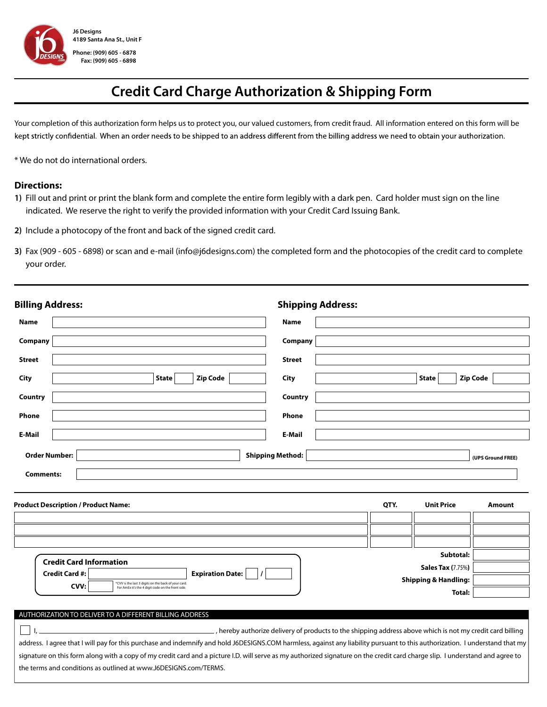

## **Credit Card Charge Authorization & Shipping Form**

Your completion of this authorization form helps us to protect you, our valued customers, from credit fraud. All information entered on this form will be kept strictly confidential. When an order needs to be shipped to an address different from the billing address we need to obtain your authorization.

\* We do not do international orders.

## **Directions:**

- **1)** Fill out and print or print the blank form and complete the entire form legibly with a dark pen. Card holder must sign on the line indicated. We reserve the right to verify the provided information with your Credit Card Issuing Bank.
- **2)** Include a photocopy of the front and back of the signed credit card.
- **3)** Fax (909 605 6898) or scan and e-mail (info@j6designs.com) the completed form and the photocopies of the credit card to complete your order.

| <b>Billing Address:</b>                                                                                         | <b>Shipping Address:</b>                                                                                                                                                     |  |
|-----------------------------------------------------------------------------------------------------------------|------------------------------------------------------------------------------------------------------------------------------------------------------------------------------|--|
| <b>Name</b>                                                                                                     | <b>Name</b>                                                                                                                                                                  |  |
| Company                                                                                                         | Company                                                                                                                                                                      |  |
| <b>Street</b>                                                                                                   | <b>Street</b>                                                                                                                                                                |  |
| <b>State</b><br><b>Zip Code</b><br><b>City</b>                                                                  | <b>Zip Code</b><br>City<br><b>State</b>                                                                                                                                      |  |
| Country                                                                                                         | Country                                                                                                                                                                      |  |
| Phone                                                                                                           | Phone                                                                                                                                                                        |  |
| E-Mail                                                                                                          | E-Mail                                                                                                                                                                       |  |
| <b>Order Number:</b>                                                                                            | <b>Shipping Method:</b><br>(UPS Ground FREE)                                                                                                                                 |  |
| <b>Comments:</b>                                                                                                |                                                                                                                                                                              |  |
| <b>Product Description / Product Name:</b>                                                                      | QTY.<br><b>Unit Price</b><br><b>Amount</b>                                                                                                                                   |  |
|                                                                                                                 |                                                                                                                                                                              |  |
|                                                                                                                 |                                                                                                                                                                              |  |
|                                                                                                                 | Subtotal:                                                                                                                                                                    |  |
| <b>Credit Card Information</b><br><b>Expiration Date:</b><br><b>Credit Card #:</b>                              | <b>Sales Tax (7.75%)</b>                                                                                                                                                     |  |
| *CVV is the last 3 digits on the back of your card<br>CVV:<br>For AmEx it's the 4 digit code on the front side. | <b>Shipping &amp; Handling:</b>                                                                                                                                              |  |
|                                                                                                                 | Total:                                                                                                                                                                       |  |
| AUTHORIZATION TO DELIVER TO A DIFFERENT BILLING ADDRESS                                                         |                                                                                                                                                                              |  |
|                                                                                                                 | hereby authorize delivery of products to the shipping address above which is not my credit card billing                                                                      |  |
|                                                                                                                 | address. I agree that I will pay for this purchase and indemnify and hold J6DESIGNS.COM harmless, against any liability pursuant to this authorization. I understand that my |  |

signature on this form along with a copy of my credit card and a picture I.D. will serve as my authorized signature on the credit card charge slip. I understand and agree to the terms and conditions as outlined at www.J6DESIGNS.com/TERMS.